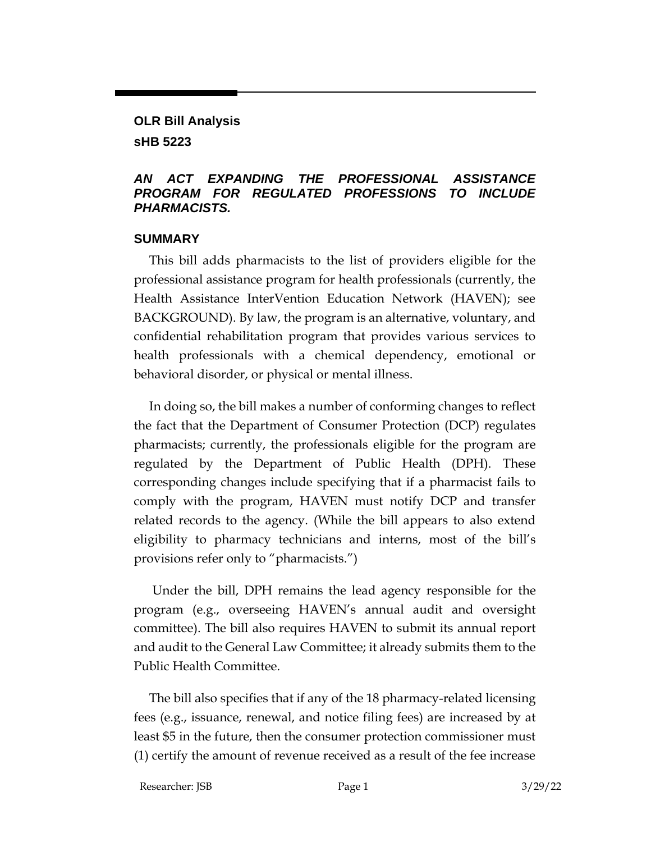# **OLR Bill Analysis**

**sHB 5223**

#### *AN ACT EXPANDING THE PROFESSIONAL ASSISTANCE PROGRAM FOR REGULATED PROFESSIONS TO INCLUDE PHARMACISTS.*

#### **SUMMARY**

This bill adds pharmacists to the list of providers eligible for the professional assistance program for health professionals (currently, the Health Assistance InterVention Education Network (HAVEN); see BACKGROUND). By law, the program is an alternative, voluntary, and confidential rehabilitation program that provides various services to health professionals with a chemical dependency, emotional or behavioral disorder, or physical or mental illness.

In doing so, the bill makes a number of conforming changes to reflect the fact that the Department of Consumer Protection (DCP) regulates pharmacists; currently, the professionals eligible for the program are regulated by the Department of Public Health (DPH). These corresponding changes include specifying that if a pharmacist fails to comply with the program, HAVEN must notify DCP and transfer related records to the agency. (While the bill appears to also extend eligibility to pharmacy technicians and interns, most of the bill's provisions refer only to "pharmacists.")

Under the bill, DPH remains the lead agency responsible for the program (e.g., overseeing HAVEN's annual audit and oversight committee). The bill also requires HAVEN to submit its annual report and audit to the General Law Committee; it already submits them to the Public Health Committee.

The bill also specifies that if any of the 18 pharmacy-related licensing fees (e.g., issuance, renewal, and notice filing fees) are increased by at least \$5 in the future, then the consumer protection commissioner must (1) certify the amount of revenue received as a result of the fee increase